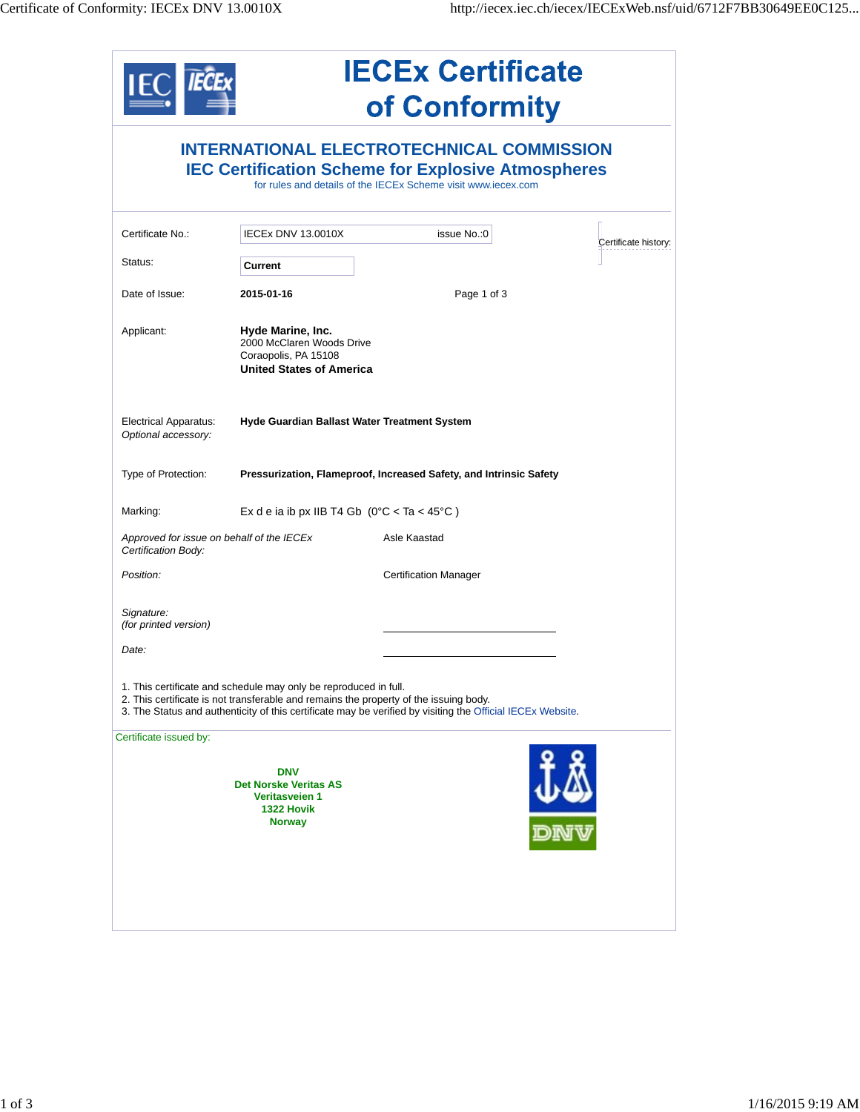|                                                                                                                                                                                                                                                                         | <b>IECEx Certificate</b><br>of Conformity                                                                 |                              |                      |  |  |  |
|-------------------------------------------------------------------------------------------------------------------------------------------------------------------------------------------------------------------------------------------------------------------------|-----------------------------------------------------------------------------------------------------------|------------------------------|----------------------|--|--|--|
| <b>INTERNATIONAL ELECTROTECHNICAL COMMISSION</b><br><b>IEC Certification Scheme for Explosive Atmospheres</b><br>for rules and details of the IECEx Scheme visit www.iecex.com                                                                                          |                                                                                                           |                              |                      |  |  |  |
| Certificate No.:                                                                                                                                                                                                                                                        | IECEx DNV 13.0010X                                                                                        | issue No.: 0                 | Certificate history: |  |  |  |
| Status:                                                                                                                                                                                                                                                                 | Current                                                                                                   |                              |                      |  |  |  |
| Date of Issue:                                                                                                                                                                                                                                                          | 2015-01-16                                                                                                | Page 1 of 3                  |                      |  |  |  |
| Applicant:                                                                                                                                                                                                                                                              | Hyde Marine, Inc.<br>2000 McClaren Woods Drive<br>Coraopolis, PA 15108<br><b>United States of America</b> |                              |                      |  |  |  |
| <b>Electrical Apparatus:</b><br>Optional accessory:                                                                                                                                                                                                                     | Hyde Guardian Ballast Water Treatment System                                                              |                              |                      |  |  |  |
| Type of Protection:                                                                                                                                                                                                                                                     | Pressurization, Flameproof, Increased Safety, and Intrinsic Safety                                        |                              |                      |  |  |  |
| Marking:                                                                                                                                                                                                                                                                | Ex d e ia ib px IIB T4 Gb $(0^{\circ}C < Ta < 45^{\circ}C)$                                               |                              |                      |  |  |  |
| Approved for issue on behalf of the IECEx<br>Certification Body:                                                                                                                                                                                                        |                                                                                                           | Asle Kaastad                 |                      |  |  |  |
| Position:                                                                                                                                                                                                                                                               |                                                                                                           | <b>Certification Manager</b> |                      |  |  |  |
| Signature:<br>(for printed version)                                                                                                                                                                                                                                     |                                                                                                           |                              |                      |  |  |  |
| Date:                                                                                                                                                                                                                                                                   |                                                                                                           |                              |                      |  |  |  |
| 1. This certificate and schedule may only be reproduced in full.<br>2. This certificate is not transferable and remains the property of the issuing body.<br>3. The Status and authenticity of this certificate may be verified by visiting the Official IECEx Website. |                                                                                                           |                              |                      |  |  |  |
| Certificate issued by:                                                                                                                                                                                                                                                  |                                                                                                           |                              |                      |  |  |  |
|                                                                                                                                                                                                                                                                         | <b>DNV</b><br><b>Det Norske Veritas AS</b><br>Veritasveien 1<br>1322 Hovik<br><b>Norway</b>               |                              | <b>UG)</b><br>DNW    |  |  |  |
|                                                                                                                                                                                                                                                                         |                                                                                                           |                              |                      |  |  |  |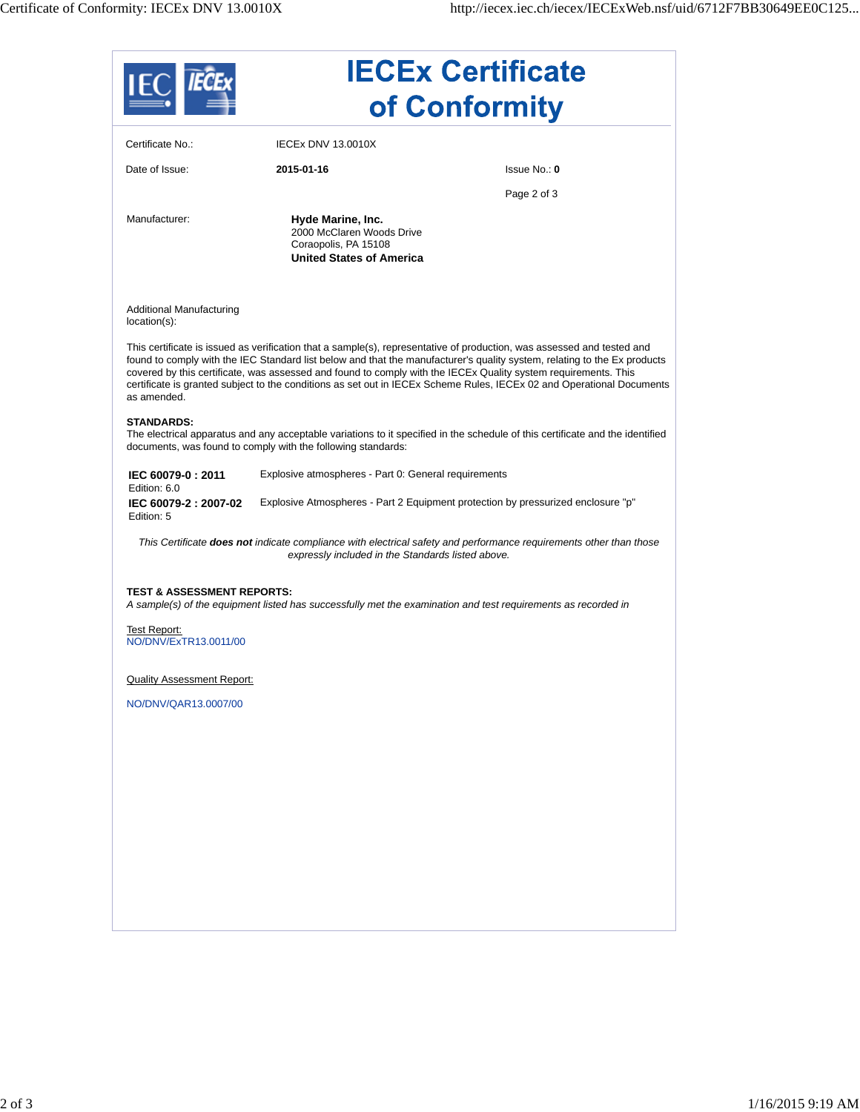|                                             | <b>IECEx Certificate</b><br>of Conformity                                                                 |                                                                                                                                                                                                                                                                                                                                                                                                                                                                                               |  |
|---------------------------------------------|-----------------------------------------------------------------------------------------------------------|-----------------------------------------------------------------------------------------------------------------------------------------------------------------------------------------------------------------------------------------------------------------------------------------------------------------------------------------------------------------------------------------------------------------------------------------------------------------------------------------------|--|
| Certificate No.:                            | <b>IECEX DNV 13.0010X</b>                                                                                 |                                                                                                                                                                                                                                                                                                                                                                                                                                                                                               |  |
| Date of Issue:                              | 2015-01-16                                                                                                | lssue No.: 0                                                                                                                                                                                                                                                                                                                                                                                                                                                                                  |  |
|                                             |                                                                                                           | Page 2 of 3                                                                                                                                                                                                                                                                                                                                                                                                                                                                                   |  |
| Manufacturer:                               | Hyde Marine, Inc.<br>2000 McClaren Woods Drive<br>Coraopolis, PA 15108<br><b>United States of America</b> |                                                                                                                                                                                                                                                                                                                                                                                                                                                                                               |  |
| Additional Manufacturing<br>$location(s)$ : |                                                                                                           |                                                                                                                                                                                                                                                                                                                                                                                                                                                                                               |  |
| as amended.                                 |                                                                                                           | This certificate is issued as verification that a sample(s), representative of production, was assessed and tested and<br>found to comply with the IEC Standard list below and that the manufacturer's quality system, relating to the Ex products<br>covered by this certificate, was assessed and found to comply with the IECEx Quality system requirements. This<br>certificate is granted subject to the conditions as set out in IECEx Scheme Rules, IECEx 02 and Operational Documents |  |
| <b>STANDARDS:</b>                           | documents, was found to comply with the following standards:                                              | The electrical apparatus and any acceptable variations to it specified in the schedule of this certificate and the identified                                                                                                                                                                                                                                                                                                                                                                 |  |
| IEC 60079-0: 2011<br>Edition: 6.0           | Explosive atmospheres - Part 0: General requirements                                                      |                                                                                                                                                                                                                                                                                                                                                                                                                                                                                               |  |
| IEC 60079-2: 2007-02<br>Edition: 5          |                                                                                                           | Explosive Atmospheres - Part 2 Equipment protection by pressurized enclosure "p"                                                                                                                                                                                                                                                                                                                                                                                                              |  |
|                                             | expressly included in the Standards listed above.                                                         | This Certificate <b>does not</b> indicate compliance with electrical safety and performance requirements other than those                                                                                                                                                                                                                                                                                                                                                                     |  |
| <b>TEST &amp; ASSESSMENT REPORTS:</b>       |                                                                                                           | A sample(s) of the equipment listed has successfully met the examination and test requirements as recorded in                                                                                                                                                                                                                                                                                                                                                                                 |  |
| Test Report:<br>NO/DNV/ExTR13.0011/00       |                                                                                                           |                                                                                                                                                                                                                                                                                                                                                                                                                                                                                               |  |
| <b>Quality Assessment Report:</b>           |                                                                                                           |                                                                                                                                                                                                                                                                                                                                                                                                                                                                                               |  |
| NO/DNV/QAR13.0007/00                        |                                                                                                           |                                                                                                                                                                                                                                                                                                                                                                                                                                                                                               |  |
|                                             |                                                                                                           |                                                                                                                                                                                                                                                                                                                                                                                                                                                                                               |  |
|                                             |                                                                                                           |                                                                                                                                                                                                                                                                                                                                                                                                                                                                                               |  |
|                                             |                                                                                                           |                                                                                                                                                                                                                                                                                                                                                                                                                                                                                               |  |
|                                             |                                                                                                           |                                                                                                                                                                                                                                                                                                                                                                                                                                                                                               |  |
|                                             |                                                                                                           |                                                                                                                                                                                                                                                                                                                                                                                                                                                                                               |  |
|                                             |                                                                                                           |                                                                                                                                                                                                                                                                                                                                                                                                                                                                                               |  |
|                                             |                                                                                                           |                                                                                                                                                                                                                                                                                                                                                                                                                                                                                               |  |
|                                             |                                                                                                           |                                                                                                                                                                                                                                                                                                                                                                                                                                                                                               |  |